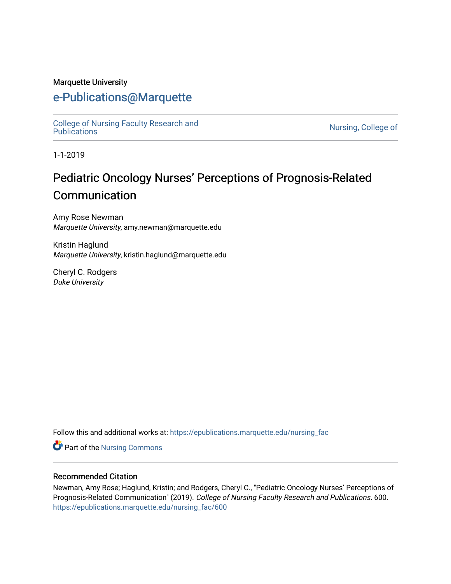#### Marquette University

# [e-Publications@Marquette](https://epublications.marquette.edu/)

[College of Nursing Faculty Research and](https://epublications.marquette.edu/nursing_fac)<br>Publications

Nursing, College of

1-1-2019

# Pediatric Oncology Nurses' Perceptions of Prognosis-Related **Communication**

Amy Rose Newman Marquette University, amy.newman@marquette.edu

Kristin Haglund Marquette University, kristin.haglund@marquette.edu

Cheryl C. Rodgers Duke University

Follow this and additional works at: [https://epublications.marquette.edu/nursing\\_fac](https://epublications.marquette.edu/nursing_fac?utm_source=epublications.marquette.edu%2Fnursing_fac%2F600&utm_medium=PDF&utm_campaign=PDFCoverPages)

Part of the [Nursing Commons](http://network.bepress.com/hgg/discipline/718?utm_source=epublications.marquette.edu%2Fnursing_fac%2F600&utm_medium=PDF&utm_campaign=PDFCoverPages) 

#### Recommended Citation

Newman, Amy Rose; Haglund, Kristin; and Rodgers, Cheryl C., "Pediatric Oncology Nurses' Perceptions of Prognosis-Related Communication" (2019). College of Nursing Faculty Research and Publications. 600. [https://epublications.marquette.edu/nursing\\_fac/600](https://epublications.marquette.edu/nursing_fac/600?utm_source=epublications.marquette.edu%2Fnursing_fac%2F600&utm_medium=PDF&utm_campaign=PDFCoverPages)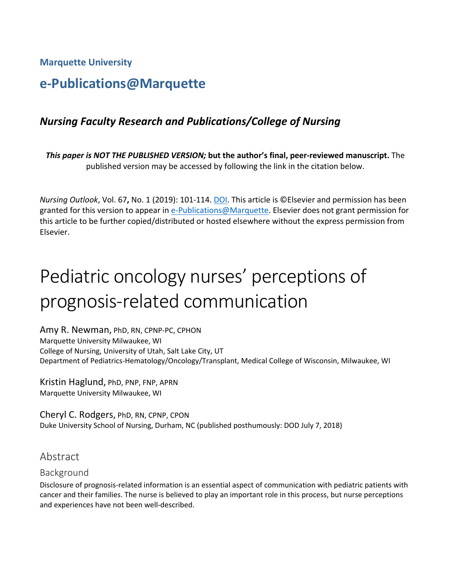**Marquette University**

# **e-Publications@Marquette**

# *Nursing Faculty Research and Publications/College of Nursing*

*This paper is NOT THE PUBLISHED VERSION;* **but the author's final, peer-reviewed manuscript.** The published version may be accessed by following the link in the citation below.

*Nursing Outlook*, Vol. 67**,** No. 1 (2019): 101-114. DOI. This article is ©Elsevier and permission has been granted for this version to appear in [e-Publications@Marquette.](http://epublications.marquette.edu/) Elsevier does not grant permission for this article to be further copied/distributed or hosted elsewhere without the express permission from Elsevier.

# Pediatric oncology nurses' perceptions of prognosis-related communication

Amy R. Newman, PhD, RN, CPNP-PC, CPHON Marquette University Milwaukee, WI College of Nursing, University of Utah, Salt Lake City, UT Department of Pediatrics-Hematology/Oncology/Transplant, Medical College of Wisconsin, Milwaukee, WI

Kristin Haglund, PhD, PNP, FNP, APRN Marquette University Milwaukee, WI

Cheryl C. Rodgers, PhD, RN, CPNP, CPON Duke University School of Nursing, Durham, NC (published posthumously: DOD July 7, 2018)

# Abstract

### Background

Disclosure of prognosis-related information is an essential aspect of communication with pediatric patients with cancer and their families. The nurse is believed to play an important role in this process, but nurse perceptions and experiences have not been well-described.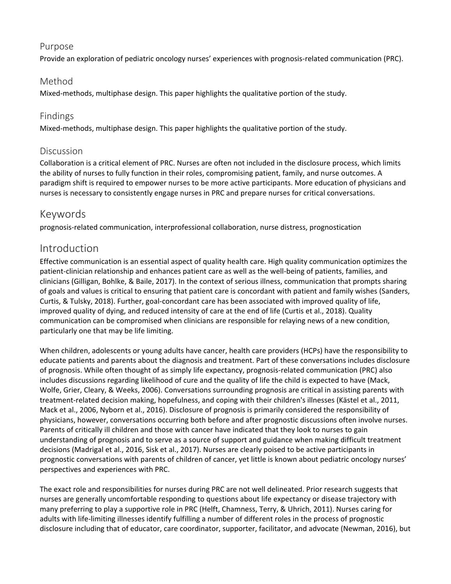### Purpose

Provide an exploration of pediatric oncology nurses' experiences with prognosis-related communication (PRC).

### Method

Mixed-methods, multiphase design. This paper highlights the qualitative portion of the study.

### Findings

Mixed-methods, multiphase design. This paper highlights the qualitative portion of the study.

### Discussion

Collaboration is a critical element of PRC. Nurses are often not included in the disclosure process, which limits the ability of nurses to fully function in their roles, compromising patient, family, and nurse outcomes. A paradigm shift is required to empower nurses to be more active participants. More education of physicians and nurses is necessary to consistently engage nurses in PRC and prepare nurses for critical conversations.

### Keywords

prognosis-related communication, interprofessional collaboration, nurse distress, prognostication

# Introduction

Effective communication is an essential aspect [of quality health care.](https://www.sciencedirect.com/topics/nursing-and-health-professions/health-care-quality) High quality communication optimizes the patient-clinician relationship and enhances patient care as well as the well-being of patients, families, and clinicians [\(Gilligan, Bohlke, & Baile, 2017\)](https://www.sciencedirect.com/science/article/pii/S002965541830438X?via%3Dihub#bib0013). In the context of serious illness, communication that prompts sharing of goals and values is critical to ensuring that patient care is concordant with patient and family wishes [\(Sanders,](https://www.sciencedirect.com/science/article/pii/S002965541830438X?via%3Dihub#bib0032)  [Curtis, & Tulsky, 2018\)](https://www.sciencedirect.com/science/article/pii/S002965541830438X?via%3Dihub#bib0032). Further, goal-concordant care has been associated with improved quality of life, improved quality of dying, and reduced intensity of care at the end of life [\(Curtis et al., 2018\)](https://www.sciencedirect.com/science/article/pii/S002965541830438X?via%3Dihub#bib0010). Quality communication can be compromised when clinicians are responsible for relaying news of a new condition, particularly one that may be life limiting.

When children, adolescents or young adults have cancer, health care providers (HCPs) have the responsibility to educate patients and parents about the diagnosis and treatment. Part of these conversations includes disclosure of prognosis. While often thought of as simpl[y life expectancy,](https://www.sciencedirect.com/topics/nursing-and-health-professions/life-expectancy) prognosis-related communication (PRC) also includes discussions regarding likelihood of cure and the quality of life the child is expected to have [\(Mack,](https://www.sciencedirect.com/science/article/pii/S002965541830438X?via%3Dihub#bib0020)  [Wolfe, Grier, Cleary, & Weeks, 2006\)](https://www.sciencedirect.com/science/article/pii/S002965541830438X?via%3Dihub#bib0020). Conversations surrounding prognosis are critical in assisting parents with treatment-related decision making, hopefulness, and coping with their children's illnesses [\(Kästel et al., 2011,](https://www.sciencedirect.com/science/article/pii/S002965541830438X?via%3Dihub#bib0018) [Mack et al., 2006,](https://www.sciencedirect.com/science/article/pii/S002965541830438X?via%3Dihub#bib0020) [Nyborn et al., 2016\)](https://www.sciencedirect.com/science/article/pii/S002965541830438X?via%3Dihub#bib0027). Disclosure of prognosis is primarily considered the responsibility of physicians, however, conversations occurring both before and after prognostic discussions often involve nurses. Parents of critically ill children and those with cancer have indicated that they look to nurses to gain understanding of prognosis and to serve as a source of support and guidance when making difficult treatment decisions [\(Madrigal et al., 2016,](https://www.sciencedirect.com/science/article/pii/S002965541830438X?via%3Dihub#bib0021) [Sisk et al., 2017\)](https://www.sciencedirect.com/science/article/pii/S002965541830438X?via%3Dihub#bib0033). Nurses are clearly poised to be active participants in prognostic conversations with parents of children of cancer, yet little is known about [pediatric oncology](https://www.sciencedirect.com/topics/nursing-and-health-professions/childhood-cancer) nurses' perspectives and experiences with PRC.

The exact role and responsibilities for nurses during PRC are not well delineated. Prior research suggests that nurses are generally uncomfortable responding to questions about life expectancy or disease trajectory with many preferring to play a supportive role in PRC [\(Helft, Chamness, Terry, & Uhrich, 2011\)](https://www.sciencedirect.com/science/article/pii/S002965541830438X?via%3Dihub#bib0014). Nurses caring for adults with life-limiting illnesses identify fulfilling a number of different roles in the process of prognostic disclosure including that of educator, [care coordinator,](https://www.sciencedirect.com/topics/nursing-and-health-professions/care-coordinator) supporter, facilitator, and advocate [\(Newman, 2016\)](https://www.sciencedirect.com/science/article/pii/S002965541830438X?via%3Dihub#bib0026), but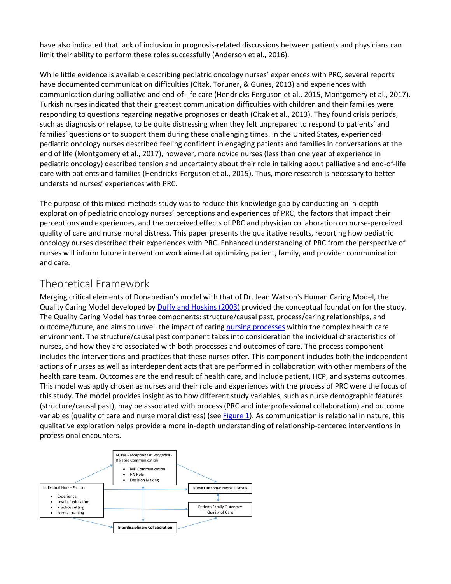have also indicated that lack of inclusion in prognosis-related discussions between patients and physicians can limit their ability to perform these roles successfully [\(Anderson et al., 2016\)](https://www.sciencedirect.com/science/article/pii/S002965541830438X?via%3Dihub#bib0003).

While little evidence is available describing pediatric oncology nurses' experiences with PRC, several reports have documented communication difficulties [\(Citak, Toruner, & Gunes, 2013\)](https://www.sciencedirect.com/science/article/pii/S002965541830438X?via%3Dihub#bib0009) and experiences with communication during palliative and [end-of-life care](https://www.sciencedirect.com/topics/nursing-and-health-professions/terminal-care) [\(Hendricks-Ferguson et al., 2015,](https://www.sciencedirect.com/science/article/pii/S002965541830438X?via%3Dihub#bib0015) [Montgomery et al., 2017\)](https://www.sciencedirect.com/science/article/pii/S002965541830438X?via%3Dihub#bib0024). Turkish nurses indicated that their greatest communication difficulties with children and their families were responding to questions regarding negative prognoses or death [\(Citak et al., 2013\)](https://www.sciencedirect.com/science/article/pii/S002965541830438X?via%3Dihub#bib0009). They found crisis periods, such as diagnosis or relapse, to be quite distressing when they felt unprepared to respond to patients' and families' questions or to support them during these challenging times. In the United States, experienced pediatric oncology nurses described feeling confident in engaging patients and families in conversations at the end of life [\(Montgomery et al., 2017\)](https://www.sciencedirect.com/science/article/pii/S002965541830438X?via%3Dihub#bib0024), however, more novice nurses (less than one year of experience in pediatric oncology) described tension and uncertainty about their role in talking about palliative and end-of-life care with patients and families [\(Hendricks-Ferguson et al., 2015\)](https://www.sciencedirect.com/science/article/pii/S002965541830438X?via%3Dihub#bib0015). Thus, more research is necessary to better understand nurses' experiences with PRC.

The purpose of this mixed-methods study was to reduce this knowledge gap by conducting an in-depth exploration of pediatric oncology nurses' perceptions and experiences of PRC, the factors that impact their perceptions and experiences, and the perceived effects of PRC and physician collaboration on nurse-perceived quality of care and nurse moral distress. This paper presents the qualitative results, reporting how pediatric oncology nurses described their experiences with PRC. Enhanced understanding of PRC from the perspective of nurses will inform future intervention work aimed at optimizing patient, family, and provider communication and care.

### Theoretical Framework

Merging critical elements of Donabedian's model with that of Dr. Jean Watson's Human Caring Model, the Quality Caring Model developed by [Duffy and Hoskins \(2003\)](https://www.sciencedirect.com/science/article/pii/S002965541830438X?via%3Dihub#bib0012) provided the conceptual foundation for the study. The Quality Caring Model has three components: structure/causal past, process/caring relationships, and outcome/future, and aims to unveil the impact of carin[g nursing processes](https://www.sciencedirect.com/topics/nursing-and-health-professions/nursing-process) within the complex health care environment. The structure/causal past component takes into consideration the individual characteristics of nurses, and how they are associated with both processes and outcomes of care. The process component includes the interventions and practices that these nurses offer. This component includes both the independent actions of nurses as well as interdependent acts that are performed in collaboration with other members of the health care team. Outcomes are the end result of health care, and include patient, HCP, and systems outcomes. This model was aptly chosen as nurses and their role and experiences with the process of PRC were the focus of this study. The model provides insight as to how different study variables, such as nurse demographic features (structure/causal past), may be associated with process (PRC and interprofessional collaboration) and outcome variables (quality of care and nurse moral distress) (see [Figure 1\)](https://www.sciencedirect.com/science/article/pii/S002965541830438X?via%3Dihub#fig0001). As communication is relational in nature, this qualitative exploration helps provide a more in-depth understanding of relationship-centered interventions in professional encounters.

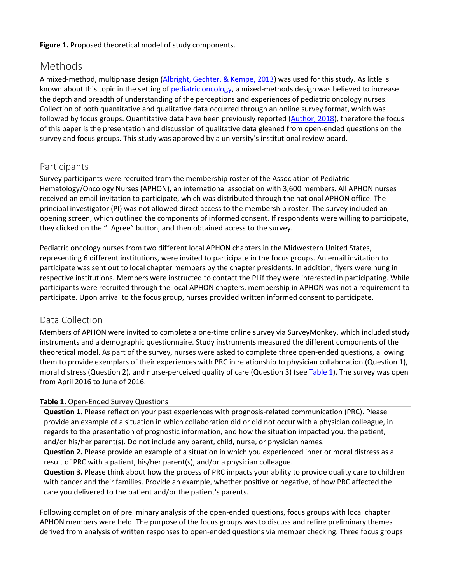#### **Figure 1.** Proposed theoretical model of study components.

# Methods

A mixed-method, multiphase design [\(Albright, Gechter, & Kempe, 2013\)](https://www.sciencedirect.com/science/article/pii/S002965541830438X?via%3Dihub#bib0001) was used for this study. As little is known about this topic in the setting of [pediatric oncology,](https://www.sciencedirect.com/topics/nursing-and-health-professions/childhood-cancer) a mixed-methods design was believed to increase the depth and breadth of understanding of the perceptions and experiences of pediatric oncology nurses. Collection of both quantitative and qualitative data occurred through an online survey format, which was followed by focus groups. Quantitative data have been previously reported [\(Author, 2018\)](https://www.sciencedirect.com/science/article/pii/S002965541830438X?via%3Dihub#bib0004), therefore the focus of this paper is the presentation and discussion of qualitative data gleaned from open-ended questions on the survey and focus groups. This study was approved by a university's institutional review board.

### Participants

Survey participants were recruited from the membership roster of the Association of Pediatric Hematology/Oncology Nurses (APHON), an international association with 3,600 members. All APHON nurses received an email invitation to participate, which was distributed through the national APHON office. The principal investigator (PI) was not allowed direct access to the membership roster. The survey included an opening screen, which outlined the components of informed consent. If respondents were willing to participate, they clicked on the "I Agree" button, and then obtained access to the survey.

Pediatric oncology nurses from two different local APHON chapters in the Midwestern United States, representing 6 different institutions, were invited to participate in the focus groups. An email invitation to participate was sent out to local chapter members by the chapter presidents. In addition, flyers were hung in respective institutions. Members were instructed to contact the PI if they were interested in participating. While participants were recruited through the local APHON chapters, membership in APHON was not a requirement to participate. Upon arrival to the focus group, nurses provided written informed consent to participate.

### Data Collection

Members of APHON were invited to complete a one-time online survey via SurveyMonkey, which included study instruments and a demographic questionnaire. Study instruments measured the different components of the theoretical model. As part of the survey, nurses were asked to complete three open-ended questions, allowing them to provide exemplars of their experiences with PRC in relationship to physician collaboration (Question 1), moral distress (Question 2), and nurse-perceived quality of care (Question 3) (see [Table 1\)](https://www.sciencedirect.com/science/article/pii/S002965541830438X?via%3Dihub#tbl0001). The survey was open from April 2016 to June of 2016.

### **Table 1.** Open-Ended Survey Questions

**Question 1.** Please reflect on your past experiences with prognosis-related communication (PRC). Please provide an example of a situation in which collaboration did or did not occur with a physician colleague, in regards to the presentation of prognostic information, and how the situation impacted you, the patient, and/or his/her parent(s). Do not include any parent, child, nurse, or physician names.

**Question 2.** Please provide an example of a situation in which you experienced inner or moral distress as a result of PRC with a patient, his/her parent(s), and/or a physician colleague.

**Question 3.** Please think about how the process of PRC impacts your ability to provide quality care to children with cancer and their families. Provide an example, whether positive or negative, of how PRC affected the care you delivered to the patient and/or the patient's parents.

Following completion of preliminary analysis of the open-ended questions, focus groups with local chapter APHON members were held. The purpose of the focus groups was to discuss and refine preliminary themes derived from analysis of written responses to open-ended questions via member checking. Three focus groups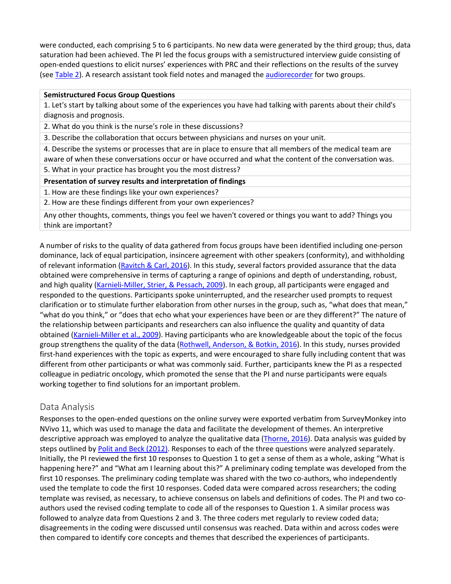were conducted, each comprising 5 to 6 participants. No new data were generated by the third group; thus, data saturation had been achieved. The PI led the focus groups with a semistructured interview guide consisting of open-ended questions to elicit nurses' experiences with PRC and their reflections on the results of the survey (see [Table 2\)](https://www.sciencedirect.com/science/article/pii/S002965541830438X?via%3Dihub#tbl0002). A research assistant took field notes and managed the [audiorecorder](https://www.sciencedirect.com/topics/nursing-and-health-professions/tape-recorder) for two groups.

#### **Semistructured Focus Group Questions**

1. Let's start by talking about some of the experiences you have had talking with parents about their child's diagnosis and prognosis.

2. What do you think is the nurse's role in these discussions?

3. Describe the collaboration that occurs between physicians and nurses on your unit.

4. Describe the systems or processes that are in place to ensure that all members of the medical team are aware of when these conversations occur or have occurred and what the content of the conversation was. 5. What in your practice has brought you the most distress?

**Presentation of survey results and interpretation of findings**

1. How are these findings like your own experiences?

2. How are these findings different from your own experiences?

Any other thoughts, comments, things you feel we haven't covered or things you want to add? Things you think are important?

A number of risks to the quality of data gathered from focus groups have been identified including one-person dominance, lack of equal participation, insincere agreement with other speakers (conformity), and withholding of relevant information [\(Ravitch & Carl, 2016\)](https://www.sciencedirect.com/science/article/pii/S002965541830438X?via%3Dihub#bib0030). In this study, several factors provided assurance that the data obtained were comprehensive in terms of capturing a range of opinions and depth of understanding, robust, and high quality [\(Karnieli-Miller, Strier, & Pessach, 2009\)](https://www.sciencedirect.com/science/article/pii/S002965541830438X?via%3Dihub#bib0017). In each group, all participants were engaged and responded to the questions. Participants spoke uninterrupted, and the researcher used prompts to request clarification or to stimulate further elaboration from other nurses in the group, such as, "what does that mean," "what do you think," or "does that echo what your experiences have been or are they different?" The nature of the relationship between participants and researchers can also influence the quality and quantity of data obtained [\(Karnieli-Miller et al., 2009\)](https://www.sciencedirect.com/science/article/pii/S002965541830438X?via%3Dihub#bib0017). Having participants who are knowledgeable about the topic of the focus group strengthens the quality of the data [\(Rothwell, Anderson, & Botkin, 2016\)](https://www.sciencedirect.com/science/article/pii/S002965541830438X?via%3Dihub#bib0031). In this study, nurses provided first-hand experiences with the topic as experts, and were encouraged to share fully including content that was different from other participants or what was commonly said. Further, participants knew the PI as a respected colleague in pediatric oncology, which promoted the sense that the PI and nurse participants were equals working together to find solutions for an important problem.

### Data Analysis

Responses to the open-ended questions on the online survey were exported verbatim from SurveyMonkey into NVivo 11, which was used to manage the data and facilitate the development of themes. An interpretive descriptive approach was employed to analyze the qualitative data [\(Thorne, 2016\)](https://www.sciencedirect.com/science/article/pii/S002965541830438X?via%3Dihub#bib0035). Data analysis was guided by steps outlined by [Polit and Beck \(2012\).](https://www.sciencedirect.com/science/article/pii/S002965541830438X?via%3Dihub#bib0029) Responses to each of the three questions were analyzed separately. Initially, the PI reviewed the first 10 responses to Question 1 to get a sense of them as a whole, asking "What is happening here?" and "What am I learning about this?" A preliminary coding template was developed from the first 10 responses. The preliminary coding template was shared with the two co-authors, who independently used the template to code the first 10 responses. Coded data were compared across researchers; the coding template was revised, as necessary, to achieve consensus on labels and definitions of codes. The PI and two coauthors used the revised coding template to code all of the responses to Question 1. A similar process was followed to analyze data from Questions 2 and 3. The three coders met regularly to review coded data; disagreements in the coding were discussed until consensus was reached. Data within and across codes were then compared to identify core concepts and themes that described the experiences of participants.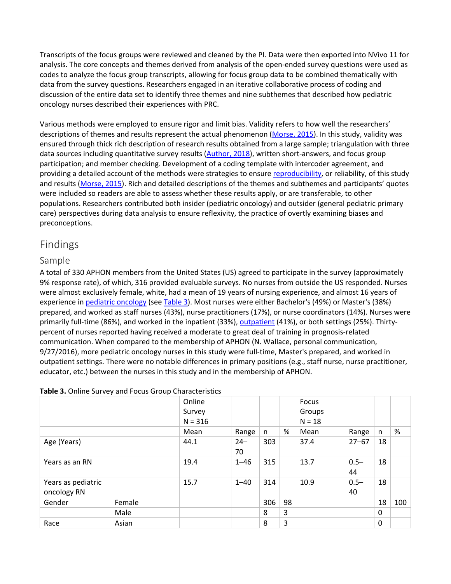Transcripts of the focus groups were reviewed and cleaned by the PI. Data were then exported into NVivo 11 for analysis. The core concepts and themes derived from analysis of the open-ended survey questions were used as codes to analyze the focus group transcripts, allowing for focus group data to be combined thematically with data from the survey questions. Researchers engaged in an iterative collaborative process of coding and discussion of the entire data set to identify three themes and nine subthemes that described how pediatric oncology nurses described their experiences with PRC.

Various methods were employed to ensure rigor and limit bias. Validity refers to how well the researchers' descriptions of themes and results represent the actual phenomenon [\(Morse, 2015\)](https://www.sciencedirect.com/science/article/pii/S002965541830438X?via%3Dihub#bib0025). In this study, validity was ensured through thick rich description of research results obtained from a large sample; triangulation with three data sources including quantitative survey results [\(Author, 2018\)](https://www.sciencedirect.com/science/article/pii/S002965541830438X?via%3Dihub#bib0004), written short-answers, and focus group participation; and member checking. Development of a coding template with intercoder agreement, and providing a detailed account of the methods were strategies to ensure [reproducibility,](https://www.sciencedirect.com/topics/nursing-and-health-professions/reproducibility) or reliability, of this study and results [\(Morse, 2015\)](https://www.sciencedirect.com/science/article/pii/S002965541830438X?via%3Dihub#bib0025). Rich and detailed descriptions of the themes and subthemes and participants' quotes were included so readers are able to assess whether these results apply, or are transferable, to other populations. Researchers contributed both insider (pediatric oncology) and outsider (general pediatric primary care) perspectives during data analysis to ensure reflexivity, the practice of overtly examining biases and preconceptions.

# Findings

### Sample

A total of 330 APHON members from the United States (US) agreed to participate in the survey (approximately 9% response rate), of which, 316 provided evaluable surveys. No nurses from outside the US responded. Nurses were almost exclusively female, white, had a mean of 19 years of nursing experience, and almost 16 years of experience in [pediatric oncology](https://www.sciencedirect.com/topics/nursing-and-health-professions/childhood-cancer) (se[e Table 3\)](https://www.sciencedirect.com/science/article/pii/S002965541830438X?via%3Dihub#tbl0003). Most nurses were either Bachelor's (49%) or Master's (38%) prepared, and worked as staff nurses (43%), nurse practitioners (17%), or nurse coordinators (14%). Nurses were primarily full-time (86%), and worked in the inpatient (33%)[, outpatient](https://www.sciencedirect.com/topics/nursing-and-health-professions/outpatient) (41%), or both settings (25%). Thirtypercent of nurses reported having received a moderate to great deal of training in prognosis-related communication. When compared to the membership of APHON (N. Wallace, personal communication, 9/27/2016), more pediatric oncology nurses in this study were full-time, Master's prepared, and worked in outpatient settings. There were no notable differences in primary positions (e.g., staff nurse, nurse practitioner, educator, etc.) between the nurses in this study and in the membership of APHON.

|                                   |        | Online<br>Survey<br>$N = 316$ |              |     |    | Focus<br>Groups<br>$N = 18$ |               |          |     |
|-----------------------------------|--------|-------------------------------|--------------|-----|----|-----------------------------|---------------|----------|-----|
|                                   |        | Mean                          | Range        | n   | %  | Mean                        | Range         | n        | %   |
| Age (Years)                       |        | 44.1                          | $24 -$<br>70 | 303 |    | 37.4                        | $27 - 67$     | 18       |     |
| Years as an RN                    |        | 19.4                          | $1 - 46$     | 315 |    | 13.7                        | $0.5 -$<br>44 | 18       |     |
| Years as pediatric<br>oncology RN |        | 15.7                          | $1 - 40$     | 314 |    | 10.9                        | $0.5 -$<br>40 | 18       |     |
| Gender                            | Female |                               |              | 306 | 98 |                             |               | 18       | 100 |
|                                   | Male   |                               |              | 8   | 3  |                             |               | $\Omega$ |     |
| Race                              | Asian  |                               |              | 8   | 3  |                             |               | $\Omega$ |     |

#### **Table 3.** Online Survey and Focus Group Characteristics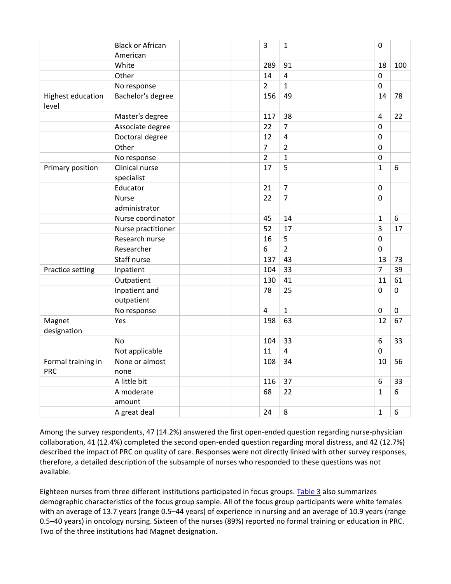|                                   | <b>Black or African</b>       | $\overline{\mathbf{3}}$ | $\mathbf{1}$            |  | $\mathbf 0$      |           |
|-----------------------------------|-------------------------------|-------------------------|-------------------------|--|------------------|-----------|
|                                   | American                      |                         |                         |  |                  |           |
|                                   | White                         | 289                     | 91                      |  | 18               | 100       |
|                                   | Other                         | 14                      | $\overline{\mathbf{4}}$ |  | $\pmb{0}$        |           |
|                                   | No response                   | $\overline{2}$          | $\mathbf{1}$            |  | $\boldsymbol{0}$ |           |
| <b>Highest education</b><br>level | Bachelor's degree             | 156                     | 49                      |  | 14               | 78        |
|                                   | Master's degree               | 117                     | 38                      |  | $\overline{4}$   | 22        |
|                                   | Associate degree              | 22                      | $\overline{7}$          |  | $\pmb{0}$        |           |
|                                   | Doctoral degree               | 12                      | $\overline{\mathbf{4}}$ |  | $\mathbf 0$      |           |
|                                   | Other                         | $\overline{7}$          | $\overline{2}$          |  | $\pmb{0}$        |           |
|                                   | No response                   | $\overline{2}$          | $\mathbf{1}$            |  | $\mathbf 0$      |           |
| Primary position                  | Clinical nurse<br>specialist  | 17                      | 5                       |  | $\mathbf 1$      | 6         |
|                                   | Educator                      | 21                      | $\overline{7}$          |  | $\mathbf 0$      |           |
|                                   | <b>Nurse</b><br>administrator | 22                      | $\overline{7}$          |  | $\mathbf 0$      |           |
|                                   | Nurse coordinator             | 45                      | 14                      |  | $\mathbf 1$      | 6         |
|                                   | Nurse practitioner            | 52                      | 17                      |  | $\overline{3}$   | 17        |
|                                   | Research nurse                | 16                      | 5                       |  | $\mathbf 0$      |           |
|                                   | Researcher                    | 6                       | $\overline{2}$          |  | $\pmb{0}$        |           |
|                                   | Staff nurse                   | 137                     | 43                      |  | 13               | 73        |
| Practice setting                  | Inpatient                     | 104                     | 33                      |  | $\overline{7}$   | 39        |
|                                   | Outpatient                    | 130                     | 41                      |  | 11               | 61        |
|                                   | Inpatient and<br>outpatient   | 78                      | 25                      |  | $\mathbf 0$      | $\pmb{0}$ |
|                                   | No response                   | $\overline{4}$          | $\mathbf{1}$            |  | $\pmb{0}$        | $\pmb{0}$ |
| Magnet<br>designation             | Yes                           | 198                     | 63                      |  | 12               | 67        |
|                                   | <b>No</b>                     | 104                     | 33                      |  | 6                | 33        |
|                                   | Not applicable                | 11                      | $\overline{4}$          |  | $\overline{0}$   |           |
| Formal training in<br><b>PRC</b>  | None or almost<br>none        | 108                     | 34                      |  | 10               | 56        |
|                                   | A little bit                  | 116                     | 37                      |  | 6                | 33        |
|                                   | A moderate<br>amount          | 68                      | 22                      |  | $\mathbf{1}$     | 6         |
|                                   | A great deal                  | 24                      | 8                       |  | $\mathbf 1$      | 6         |

Among the survey respondents, 47 (14.2%) answered the first open-ended question regarding nurse-physician collaboration, 41 (12.4%) completed the second open-ended question regarding moral distress, and 42 (12.7%) described the impact of PRC on quality of care. Responses were not directly linked with other survey responses, therefore, a detailed description of the subsample of nurses who responded to these questions was not available.

Eighteen nurses from three different institutions participated in focus groups. [Table 3](https://www.sciencedirect.com/science/article/pii/S002965541830438X?via%3Dihub#tbl0003) also summarizes demographic characteristics of the focus group sample. All of the focus group participants were white females with an average of 13.7 years (range 0.5–44 years) of experience in nursing and an average of 10.9 years (range 0.5–40 years) in oncology nursing. Sixteen of the nurses (89%) reported no formal training or education in PRC. Two of the three institutions had Magnet designation.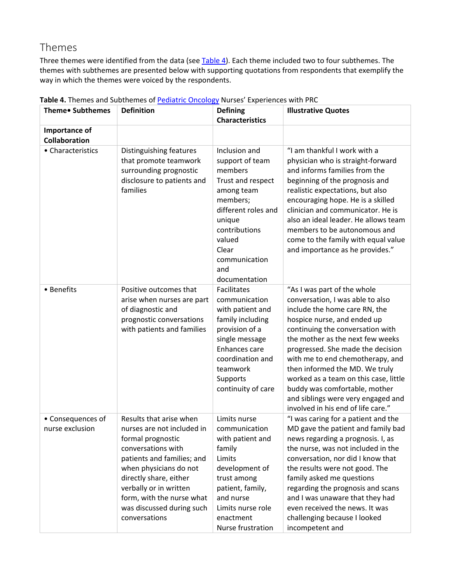# Themes

Three themes were identified from the data (see [Table 4\)](https://www.sciencedirect.com/science/article/pii/S002965541830438X?via%3Dihub#tbl0004). Each theme included two to four subthemes. The themes with subthemes are presented below with supporting quotations from respondents that exemplify the way in which the themes were voiced by the respondents.

| Theme• Subthemes                     | <b>Definition</b>                                                                                                                                                                                                                                                                       | <b>Defining</b><br><b>Characteristics</b>                                                                                                                                                                | <b>Illustrative Quotes</b>                                                                                                                                                                                                                                                                                                                                                                                                                                               |
|--------------------------------------|-----------------------------------------------------------------------------------------------------------------------------------------------------------------------------------------------------------------------------------------------------------------------------------------|----------------------------------------------------------------------------------------------------------------------------------------------------------------------------------------------------------|--------------------------------------------------------------------------------------------------------------------------------------------------------------------------------------------------------------------------------------------------------------------------------------------------------------------------------------------------------------------------------------------------------------------------------------------------------------------------|
| Importance of<br>Collaboration       |                                                                                                                                                                                                                                                                                         |                                                                                                                                                                                                          |                                                                                                                                                                                                                                                                                                                                                                                                                                                                          |
| • Characteristics                    | Distinguishing features<br>that promote teamwork<br>surrounding prognostic<br>disclosure to patients and<br>families                                                                                                                                                                    | Inclusion and<br>support of team<br>members<br>Trust and respect<br>among team<br>members;<br>different roles and<br>unique<br>contributions<br>valued<br>Clear<br>communication<br>and<br>documentation | "I am thankful I work with a<br>physician who is straight-forward<br>and informs families from the<br>beginning of the prognosis and<br>realistic expectations, but also<br>encouraging hope. He is a skilled<br>clinician and communicator. He is<br>also an ideal leader. He allows team<br>members to be autonomous and<br>come to the family with equal value<br>and importance as he provides."                                                                     |
| • Benefits                           | Positive outcomes that<br>arise when nurses are part<br>of diagnostic and<br>prognostic conversations<br>with patients and families                                                                                                                                                     | Facilitates<br>communication<br>with patient and<br>family including<br>provision of a<br>single message<br>Enhances care<br>coordination and<br>teamwork<br>Supports<br>continuity of care              | "As I was part of the whole<br>conversation, I was able to also<br>include the home care RN, the<br>hospice nurse, and ended up<br>continuing the conversation with<br>the mother as the next few weeks<br>progressed. She made the decision<br>with me to end chemotherapy, and<br>then informed the MD. We truly<br>worked as a team on this case, little<br>buddy was comfortable, mother<br>and siblings were very engaged and<br>involved in his end of life care." |
| • Consequences of<br>nurse exclusion | Results that arise when<br>nurses are not included in<br>formal prognostic<br>conversations with<br>patients and families; and<br>when physicians do not<br>directly share, either<br>verbally or in written<br>form, with the nurse what<br>was discussed during such<br>conversations | Limits nurse<br>communication<br>with patient and<br>family<br>Limits<br>development of<br>trust among<br>patient, family,<br>and nurse<br>Limits nurse role<br>enactment<br>Nurse frustration           | "I was caring for a patient and the<br>MD gave the patient and family bad<br>news regarding a prognosis. I, as<br>the nurse, was not included in the<br>conversation, nor did I know that<br>the results were not good. The<br>family asked me questions<br>regarding the prognosis and scans<br>and I was unaware that they had<br>even received the news. It was<br>challenging because I looked<br>incompetent and                                                    |

**Table 4.** Themes and Subthemes o[f Pediatric Oncology](https://www.sciencedirect.com/topics/nursing-and-health-professions/childhood-cancer) Nurses' Experiences with PRC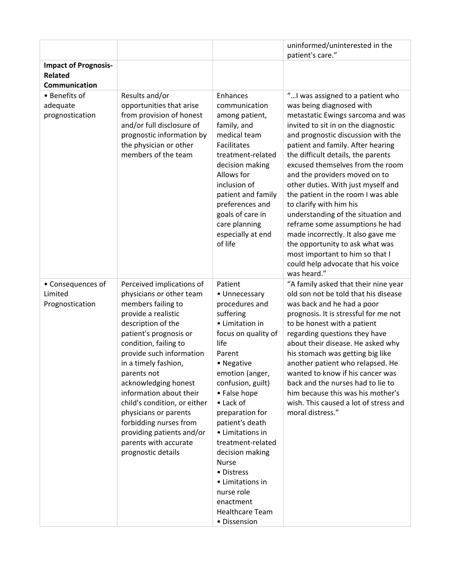|                                                 |                                                                                                                                                                                                                                                                                                                                                                                                                                                                  |                                                                                                                                                                                                                                                                                                                                                                                                                                 | uninformed/uninterested in the<br>patient's care."                                                                                                                                                                                                                                                                                                                                                                                                                                                                                                                                                                                                                              |
|-------------------------------------------------|------------------------------------------------------------------------------------------------------------------------------------------------------------------------------------------------------------------------------------------------------------------------------------------------------------------------------------------------------------------------------------------------------------------------------------------------------------------|---------------------------------------------------------------------------------------------------------------------------------------------------------------------------------------------------------------------------------------------------------------------------------------------------------------------------------------------------------------------------------------------------------------------------------|---------------------------------------------------------------------------------------------------------------------------------------------------------------------------------------------------------------------------------------------------------------------------------------------------------------------------------------------------------------------------------------------------------------------------------------------------------------------------------------------------------------------------------------------------------------------------------------------------------------------------------------------------------------------------------|
| <b>Impact of Prognosis-</b><br><b>Related</b>   |                                                                                                                                                                                                                                                                                                                                                                                                                                                                  |                                                                                                                                                                                                                                                                                                                                                                                                                                 |                                                                                                                                                                                                                                                                                                                                                                                                                                                                                                                                                                                                                                                                                 |
| Communication                                   |                                                                                                                                                                                                                                                                                                                                                                                                                                                                  |                                                                                                                                                                                                                                                                                                                                                                                                                                 |                                                                                                                                                                                                                                                                                                                                                                                                                                                                                                                                                                                                                                                                                 |
| • Benefits of<br>adequate<br>prognostication    | Results and/or<br>opportunities that arise<br>from provision of honest<br>and/or full disclosure of<br>prognostic information by<br>the physician or other<br>members of the team                                                                                                                                                                                                                                                                                | Enhances<br>communication<br>among patient,<br>family, and<br>medical team<br>Facilitates<br>treatment-related<br>decision making<br>Allows for<br>inclusion of<br>patient and family<br>preferences and<br>goals of care in<br>care planning<br>especially at end<br>of life                                                                                                                                                   | " I was assigned to a patient who<br>was being diagnosed with<br>metastatic Ewings sarcoma and was<br>invited to sit in on the diagnostic<br>and prognostic discussion with the<br>patient and family. After hearing<br>the difficult details, the parents<br>excused themselves from the room<br>and the providers moved on to<br>other duties. With just myself and<br>the patient in the room I was able<br>to clarify with him his<br>understanding of the situation and<br>reframe some assumptions he had<br>made incorrectly. It also gave me<br>the opportunity to ask what was<br>most important to him so that I<br>could help advocate that his voice<br>was heard." |
| • Consequences of<br>Limited<br>Prognostication | Perceived implications of<br>physicians or other team<br>members failing to<br>provide a realistic<br>description of the<br>patient's prognosis or<br>condition, failing to<br>provide such information<br>in a timely fashion,<br>parents not<br>acknowledging honest<br>information about their<br>child's condition, or either<br>physicians or parents<br>forbidding nurses from<br>providing patients and/or<br>parents with accurate<br>prognostic details | Patient<br>• Unnecessary<br>procedures and<br>suffering<br>• Limitation in<br>focus on quality of<br>life<br>Parent<br>• Negative<br>emotion (anger,<br>confusion, guilt)<br>• False hope<br>• Lack of<br>preparation for<br>patient's death<br>• Limitations in<br>treatment-related<br>decision making<br><b>Nurse</b><br>• Distress<br>• Limitations in<br>nurse role<br>enactment<br><b>Healthcare Team</b><br>· Dissension | "A family asked that their nine year<br>old son not be told that his disease<br>was back and he had a poor<br>prognosis. It is stressful for me not<br>to be honest with a patient<br>regarding questions they have<br>about their disease. He asked why<br>his stomach was getting big like<br>another patient who relapsed. He<br>wanted to know if his cancer was<br>back and the nurses had to lie to<br>him because this was his mother's<br>wish. This caused a lot of stress and<br>moral distress."                                                                                                                                                                     |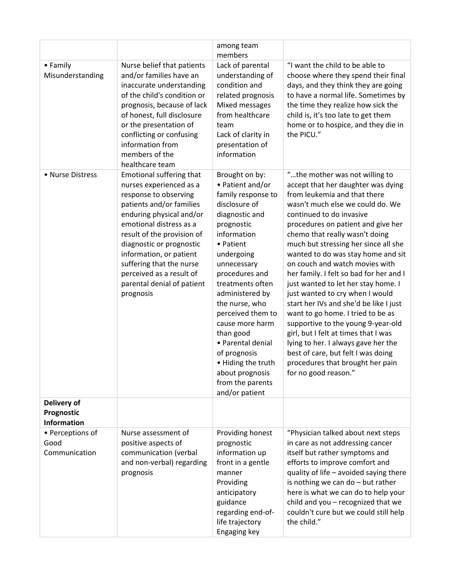|                                                 |                                                                                                                                                                                                                                                                                                                                                         | among team<br>members                                                                                                                                                                                                                                                                                                                                                                                                  |                                                                                                                                                                                                                                                                                                                                                                                                                                                                                                                                                                                                                                                                                                                                                                                         |
|-------------------------------------------------|---------------------------------------------------------------------------------------------------------------------------------------------------------------------------------------------------------------------------------------------------------------------------------------------------------------------------------------------------------|------------------------------------------------------------------------------------------------------------------------------------------------------------------------------------------------------------------------------------------------------------------------------------------------------------------------------------------------------------------------------------------------------------------------|-----------------------------------------------------------------------------------------------------------------------------------------------------------------------------------------------------------------------------------------------------------------------------------------------------------------------------------------------------------------------------------------------------------------------------------------------------------------------------------------------------------------------------------------------------------------------------------------------------------------------------------------------------------------------------------------------------------------------------------------------------------------------------------------|
| • Family<br>Misunderstanding                    | Nurse belief that patients<br>and/or families have an<br>inaccurate understanding<br>of the child's condition or<br>prognosis, because of lack<br>of honest, full disclosure<br>or the presentation of<br>conflicting or confusing<br>information from<br>members of the<br>healthcare team                                                             | Lack of parental<br>understanding of<br>condition and<br>related prognosis<br>Mixed messages<br>from healthcare<br>team<br>Lack of clarity in<br>presentation of<br>information                                                                                                                                                                                                                                        | "I want the child to be able to<br>choose where they spend their final<br>days, and they think they are going<br>to have a normal life. Sometimes by<br>the time they realize how sick the<br>child is, it's too late to get them<br>home or to hospice, and they die in<br>the PICU."                                                                                                                                                                                                                                                                                                                                                                                                                                                                                                  |
| • Nurse Distress                                | Emotional suffering that<br>nurses experienced as a<br>response to observing<br>patients and/or families<br>enduring physical and/or<br>emotional distress as a<br>result of the provision of<br>diagnostic or prognostic<br>information, or patient<br>suffering that the nurse<br>perceived as a result of<br>parental denial of patient<br>prognosis | Brought on by:<br>• Patient and/or<br>family response to<br>disclosure of<br>diagnostic and<br>prognostic<br>information<br>• Patient<br>undergoing<br>unnecessary<br>procedures and<br>treatments often<br>administered by<br>the nurse, who<br>perceived them to<br>cause more harm<br>than good<br>· Parental denial<br>of prognosis<br>• Hiding the truth<br>about prognosis<br>from the parents<br>and/or patient | "the mother was not willing to<br>accept that her daughter was dying<br>from leukemia and that there<br>wasn't much else we could do. We<br>continued to do invasive<br>procedures on patient and give her<br>chemo that really wasn't doing<br>much but stressing her since all she<br>wanted to do was stay home and sit<br>on couch and watch movies with<br>her family. I felt so bad for her and I<br>just wanted to let her stay home. I<br>just wanted to cry when I would<br>start her IVs and she'd be like I just<br>want to go home. I tried to be as<br>supportive to the young 9-year-old<br>girl, but I felt at times that I was<br>lying to her. I always gave her the<br>best of care, but felt I was doing<br>procedures that brought her pain<br>for no good reason." |
| Delivery of<br>Prognostic<br><b>Information</b> |                                                                                                                                                                                                                                                                                                                                                         |                                                                                                                                                                                                                                                                                                                                                                                                                        |                                                                                                                                                                                                                                                                                                                                                                                                                                                                                                                                                                                                                                                                                                                                                                                         |
| • Perceptions of<br>Good<br>Communication       | Nurse assessment of<br>positive aspects of<br>communication (verbal<br>and non-verbal) regarding<br>prognosis                                                                                                                                                                                                                                           | Providing honest<br>prognostic<br>information up<br>front in a gentle<br>manner<br>Providing<br>anticipatory<br>guidance<br>regarding end-of-<br>life trajectory<br>Engaging key                                                                                                                                                                                                                                       | "Physician talked about next steps<br>in care as not addressing cancer<br>itself but rather symptoms and<br>efforts to improve comfort and<br>quality of life - avoided saying there<br>is nothing we can do - but rather<br>here is what we can do to help your<br>child and you - recognized that we<br>couldn't cure but we could still help<br>the child."                                                                                                                                                                                                                                                                                                                                                                                                                          |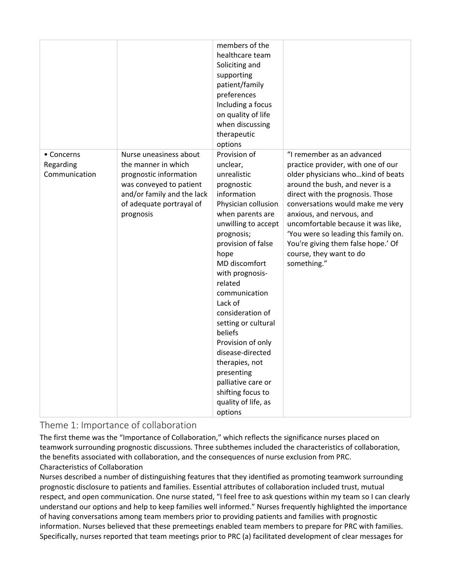|                                          |                                                                                                                                                                           | members of the<br>healthcare team<br>Soliciting and<br>supporting<br>patient/family<br>preferences<br>Including a focus<br>on quality of life<br>when discussing<br>therapeutic<br>options                                                                                                                                                                                                                                                                                |                                                                                                                                                                                                                                                                                                                                                                                                             |
|------------------------------------------|---------------------------------------------------------------------------------------------------------------------------------------------------------------------------|---------------------------------------------------------------------------------------------------------------------------------------------------------------------------------------------------------------------------------------------------------------------------------------------------------------------------------------------------------------------------------------------------------------------------------------------------------------------------|-------------------------------------------------------------------------------------------------------------------------------------------------------------------------------------------------------------------------------------------------------------------------------------------------------------------------------------------------------------------------------------------------------------|
| • Concerns<br>Regarding<br>Communication | Nurse uneasiness about<br>the manner in which<br>prognostic information<br>was conveyed to patient<br>and/or family and the lack<br>of adequate portrayal of<br>prognosis | Provision of<br>unclear,<br>unrealistic<br>prognostic<br>information<br>Physician collusion<br>when parents are<br>unwilling to accept<br>prognosis;<br>provision of false<br>hope<br>MD discomfort<br>with prognosis-<br>related<br>communication<br>Lack of<br>consideration of<br>setting or cultural<br>beliefs<br>Provision of only<br>disease-directed<br>therapies, not<br>presenting<br>palliative care or<br>shifting focus to<br>quality of life, as<br>options | "I remember as an advanced<br>practice provider, with one of our<br>older physicians whokind of beats<br>around the bush, and never is a<br>direct with the prognosis. Those<br>conversations would make me very<br>anxious, and nervous, and<br>uncomfortable because it was like,<br>'You were so leading this family on.<br>You're giving them false hope.' Of<br>course, they want to do<br>something." |

Theme 1: Importance of collaboration

The first theme was the "Importance of Collaboration," which reflects the significance nurses placed on teamwork surrounding prognostic discussions. Three subthemes included the characteristics of collaboration, the benefits associated with collaboration, and the consequences of nurse exclusion from PRC. Characteristics of Collaboration

Nurses described a number of distinguishing features that they identified as promoting teamwork surrounding prognostic disclosure to patients and families. Essential attributes of collaboration included trust, mutual respect, and open communication. One nurse stated, "I feel free to ask questions within my team so I can clearly understand our options and help to keep families well informed." Nurses frequently highlighted the importance of having conversations among team members prior to providing patients and families with prognostic information. Nurses believed that these premeetings enabled team members to prepare for PRC with families. Specifically, nurses reported that team meetings prior to PRC (a) facilitated development of clear messages for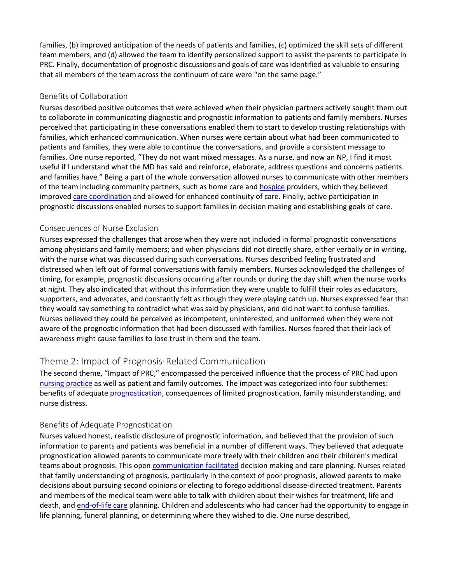families, (b) improved anticipation of the needs of patients and families, (c) optimized the skill sets of different team members, and (d) allowed the team to identify personalized support to assist the parents to participate in PRC. Finally, documentation of prognostic discussions and goals of care was identified as valuable to ensuring that all members of the team across the continuum of care were "on the same page."

#### Benefits of Collaboration

Nurses described positive outcomes that were achieved when their physician partners actively sought them out to collaborate in communicating diagnostic and prognostic information to patients and family members. Nurses perceived that participating in these conversations enabled them to start to develop trusting relationships with families, which enhanced communication. When nurses were certain about what had been communicated to patients and families, they were able to continue the conversations, and provide a consistent message to families. One nurse reported, "They do not want mixed messages. As a nurse, and now an NP, I find it most useful if I understand what the MD has said and reinforce, elaborate, address questions and concerns patients and families have." Being a part of the whole conversation allowed nurses to communicate with other members of the team including community partners, such as home care an[d hospice](https://www.sciencedirect.com/topics/nursing-and-health-professions/hospice) providers, which they believed improved [care coordination](https://www.sciencedirect.com/topics/nursing-and-health-professions/care-coordination) and allowed for enhanced continuity of care. Finally, active participation in prognostic discussions enabled nurses to support families in decision making and establishing goals of care.

#### Consequences of Nurse Exclusion

Nurses expressed the challenges that arose when they were not included in formal prognostic conversations among physicians and family members; and when physicians did not directly share, either verbally or in writing, with the nurse what was discussed during such conversations. Nurses described feeling frustrated and distressed when left out of formal conversations with family members. Nurses acknowledged the challenges of timing, for example, prognostic discussions occurring after rounds or during the day shift when the nurse works at night. They also indicated that without this information they were unable to fulfill their roles as educators, supporters, and advocates, and constantly felt as though they were playing catch up. Nurses expressed fear that they would say something to contradict what was said by physicians, and did not want to confuse families. Nurses believed they could be perceived as incompetent, uninterested, and uniformed when they were not aware of the prognostic information that had been discussed with families. Nurses feared that their lack of awareness might cause families to lose trust in them and the team.

### Theme 2: Impact of Prognosis-Related Communication

The second theme, "Impact of PRC," encompassed the perceived influence that the process of PRC had upon [nursing practice](https://www.sciencedirect.com/topics/nursing-and-health-professions/nursing-practice) as well as patient and family outcomes. The impact was categorized into four subthemes: benefits of adequate [prognostication,](https://www.sciencedirect.com/topics/nursing-and-health-professions/prognostication) consequences of limited prognostication, family misunderstanding, and nurse distress.

#### Benefits of Adequate Prognostication

Nurses valued honest, realistic disclosure of prognostic information, and believed that the provision of such information to parents and patients was beneficial in a number of different ways. They believed that adequate prognostication allowed parents to communicate more freely with their children and their children's medical teams about prognosis. This open [communication facilitated](https://www.sciencedirect.com/topics/nursing-and-health-professions/facilitated-communication) decision making and care planning. Nurses related that family understanding of prognosis, particularly in the context of poor prognosis, allowed parents to make decisions about pursuing second opinions or electing to forego additional disease-directed treatment. Parents and members of the medical team were able to talk with children about their wishes for treatment, life and death, an[d end-of-life care](https://www.sciencedirect.com/topics/nursing-and-health-professions/terminal-care) planning. Children and adolescents who had cancer had the opportunity to engage in life planning, funeral planning, or determining where they wished to die. One nurse described,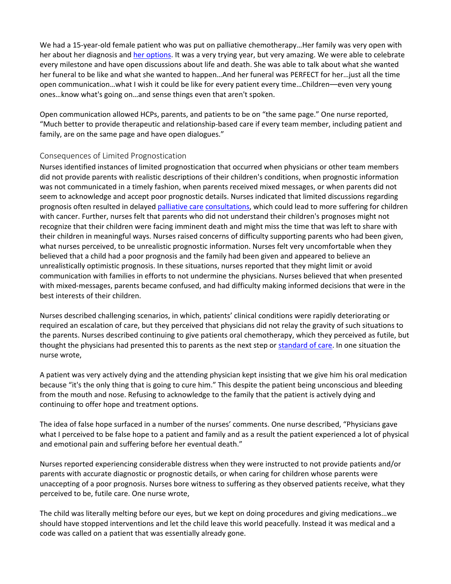We had a 15-year-old female patient who was put on palliative chemotherapy…Her family was very open with her about her diagnosis and [her options.](https://www.sciencedirect.com/topics/nursing-and-health-professions/cryoprobe) It was a very trying year, but very amazing. We were able to celebrate every milestone and have open discussions about life and death. She was able to talk about what she wanted her funeral to be like and what she wanted to happen…And her funeral was PERFECT for her…just all the time open communication…what I wish it could be like for every patient every time…Children––even very young ones…know what's going on…and sense things even that aren't spoken.

Open communication allowed HCPs, parents, and patients to be on "the same page." One nurse reported, "Much better to provide therapeutic and relationship-based care if every team member, including patient and family, are on the same page and have open dialogues."

#### Consequences of Limited Prognostication

Nurses identified instances of limited prognostication that occurred when physicians or other team members did not provide parents with realistic descriptions of their children's conditions, when prognostic information was not communicated in a timely fashion, when parents received mixed messages, or when parents did not seem to acknowledge and accept poor prognostic details. Nurses indicated that limited discussions regarding prognosis often resulted in delayed [palliative care](https://www.sciencedirect.com/topics/nursing-and-health-professions/palliative-therapy) [consultations,](https://www.sciencedirect.com/topics/nursing-and-health-professions/consultation) which could lead to more suffering for children with cancer. Further, nurses felt that parents who did not understand their children's prognoses might not recognize that their children were facing imminent death and might miss the time that was left to share with their children in meaningful ways. Nurses raised concerns of difficulty supporting parents who had been given, what nurses perceived, to be unrealistic prognostic information. Nurses felt very uncomfortable when they believed that a child had a poor prognosis and the family had been given and appeared to believe an unrealistically optimistic prognosis. In these situations, nurses reported that they might limit or avoid communication with families in efforts to not undermine the physicians. Nurses believed that when presented with mixed-messages, parents became confused, and had difficulty making informed decisions that were in the best interests of their children.

Nurses described challenging scenarios, in which, patients' clinical conditions were rapidly deteriorating or required an escalation of care, but they perceived that physicians did not relay the gravity of such situations to the parents. Nurses described continuing to give patients oral chemotherapy, which they perceived as futile, but thought the physicians had presented this to parents as the next step or [standard of care.](https://www.sciencedirect.com/topics/nursing-and-health-professions/health-care-quality) In one situation the nurse wrote,

A patient was very actively dying and the attending physician kept insisting that we give him his oral medication because "it's the only thing that is going to cure him." This despite the patient being unconscious and bleeding from the mouth and nose. Refusing to acknowledge to the family that the patient is actively dying and continuing to offer hope and treatment options.

The idea of false hope surfaced in a number of the nurses' comments. One nurse described, "Physicians gave what I perceived to be false hope to a patient and family and as a result the patient experienced a lot of physical and emotional pain and suffering before her eventual death."

Nurses reported experiencing considerable distress when they were instructed to not provide patients and/or parents with accurate diagnostic or prognostic details, or when caring for children whose parents were unaccepting of a poor prognosis. Nurses bore witness to suffering as they observed patients receive, what they perceived to be, futile care. One nurse wrote,

The child was literally melting before our eyes, but we kept on doing procedures and giving medications…we should have stopped interventions and let the child leave this world peacefully. Instead it was medical and a code was called on a patient that was essentially already gone.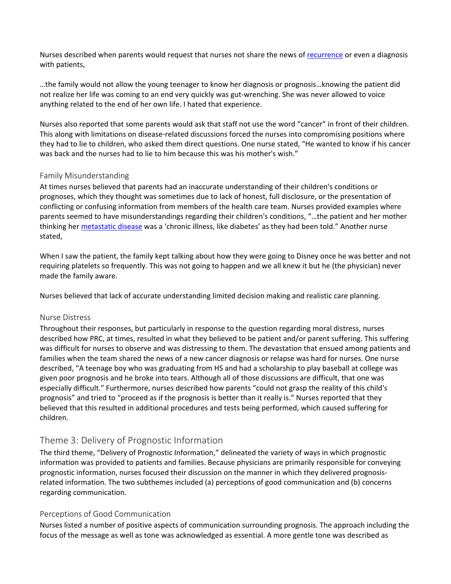Nurses described when parents would request that nurses not share the news of [recurrence](https://www.sciencedirect.com/topics/nursing-and-health-professions/recurrent-disease) or even a diagnosis with patients,

…the family would not allow the young teenager to know her diagnosis or prognosis…knowing the patient did not realize her life was coming to an end very quickly was gut-wrenching. She was never allowed to voice anything related to the end of her own life. I hated that experience.

Nurses also reported that some parents would ask that staff not use the word "cancer" in front of their children. This along with limitations on disease-related discussions forced the nurses into compromising positions where they had to lie to children, who asked them direct questions. One nurse stated, "He wanted to know if his cancer was back and the nurses had to lie to him because this was his mother's wish."

#### Family Misunderstanding

At times nurses believed that parents had an inaccurate understanding of their children's conditions or prognoses, which they thought was sometimes due to lack of honest, full disclosure, or the presentation of conflicting or confusing information from members of the health care team. Nurses provided examples where parents seemed to have misunderstandings regarding their children's conditions, "…the patient and her mother thinking her [metastatic disease](https://www.sciencedirect.com/topics/nursing-and-health-professions/metastasis) was a 'chronic illness, like diabetes' as they had been told." Another nurse stated,

When I saw the patient, the family kept talking about how they were going to Disney once he was better and not requiring platelets so frequently. This was not going to happen and we all knew it but he (the physician) never made the family aware.

Nurses believed that lack of accurate understanding limited decision making and realistic care planning.

#### Nurse Distress

Throughout their responses, but particularly in response to the question regarding moral distress, nurses described how PRC, at times, resulted in what they believed to be patient and/or parent suffering. This suffering was difficult for nurses to observe and was distressing to them. The devastation that ensued among patients and families when the team shared the news of a new cancer diagnosis or relapse was hard for nurses. One nurse described, "A teenage boy who was graduating from HS and had a scholarship to play baseball at college was given poor prognosis and he broke into tears. Although all of those discussions are difficult, that one was especially difficult." Furthermore, nurses described how parents "could not grasp the reality of this child's prognosis" and tried to "proceed as if the prognosis is better than it really is." Nurses reported that they believed that this resulted in additional procedures and tests being performed, which caused suffering for children.

### Theme 3: Delivery of Prognostic Information

The third theme, "Delivery of Prognostic Information," delineated the variety of ways in which prognostic information was provided to patients and families. Because physicians are primarily responsible for conveying prognostic information, nurses focused their discussion on the manner in which they delivered prognosisrelated information. The two subthemes included (a) perceptions of good communication and (b) concerns regarding communication.

#### Perceptions of Good Communication

Nurses listed a number of positive aspects of communication surrounding prognosis. The approach including the focus of the message as well as tone was acknowledged as essential. A more gentle tone was described as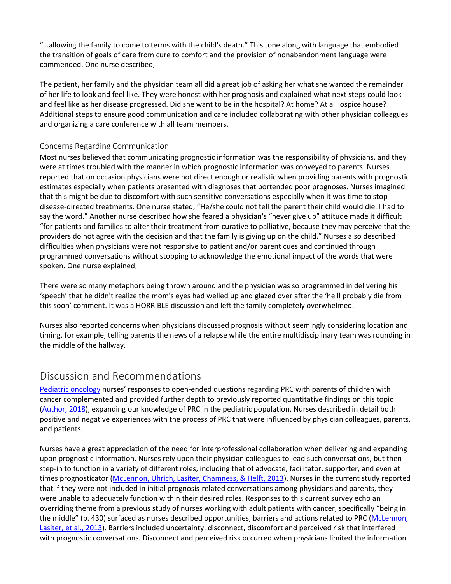"…allowing the family to come to terms with the child's death." This tone along with language that embodied the transition of goals of care from cure to comfort and the provision of nonabandonment language were commended. One nurse described,

The patient, her family and the physician team all did a great job of asking her what she wanted the remainder of her life to look and feel like. They were honest with her prognosis and explained what next steps could look and feel like as her disease progressed. Did she want to be in the hospital? At home? At a Hospice house? Additional steps to ensure good communication and care included collaborating with other physician colleagues and organizing a care conference with all team members.

#### Concerns Regarding Communication

Most nurses believed that communicating prognostic information was the responsibility of physicians, and they were at times troubled with the manner in which prognostic information was conveyed to parents. Nurses reported that on occasion physicians were not direct enough or realistic when providing parents with prognostic estimates especially when patients presented with diagnoses that portended poor prognoses. Nurses imagined that this might be due to discomfort with such sensitive conversations especially when it was time to stop disease-directed treatments. One nurse stated, "He/she could not tell the parent their child would die. I had to say the word." Another nurse described how she feared a physician's "never give up" attitude made it difficult "for patients and families to alter their treatment from curative to palliative, because they may perceive that the providers do not agree with the decision and that the family is giving up on the child." Nurses also described difficulties when physicians were not responsive to patient and/or parent cues and continued through programmed conversations without stopping to acknowledge the emotional impact of the words that were spoken. One nurse explained,

There were so many metaphors being thrown around and the physician was so programmed in delivering his 'speech' that he didn't realize the mom's eyes had welled up and glazed over after the 'he'll probably die from this soon' comment. It was a HORRIBLE discussion and left the family completely overwhelmed.

Nurses also reported concerns when physicians discussed prognosis without seemingly considering location and timing, for example, telling parents the news of a relapse while the entire multidisciplinary team was rounding in the middle of the hallway.

# Discussion and Recommendations

[Pediatric oncology](https://www.sciencedirect.com/topics/nursing-and-health-professions/childhood-cancer) nurses' responses to open-ended questions regarding PRC with parents of children with cancer complemented and provided further depth to previously reported quantitative findings on this topic [\(Author, 2018\)](https://www.sciencedirect.com/science/article/pii/S002965541830438X?via%3Dihub#bib0004), expanding our knowledge of PRC in the pediatric population. Nurses described in detail both positive and negative experiences with the process of PRC that were influenced by physician colleagues, parents, and patients.

Nurses have a great appreciation of the need for interprofessional collaboration when delivering and expanding upon prognostic information. Nurses rely upon their physician colleagues to lead such conversations, but then step-in to function in a variety of different roles, including that of advocate, facilitator, supporter, and even at times prognosticator [\(McLennon, Uhrich, Lasiter, Chamness, & Helft, 2013\)](https://www.sciencedirect.com/science/article/pii/S002965541830438X?via%3Dihub#bib0022). Nurses in the current study reported that if they were not included in initial prognosis-related conversations among physicians and parents, they were unable to adequately function within their desired roles. Responses to this current survey echo an overriding theme from a previous study of nurses working with adult patients with cancer, specifically "being in the middle" (p. 430) surfaced as nurses described opportunities, barriers and actions related to PRC (McLennon, [Lasiter, et al., 2013\)](https://www.sciencedirect.com/science/article/pii/S002965541830438X?via%3Dihub#bib0023). Barriers included uncertainty, disconnect, discomfort and perceived risk that interfered with prognostic conversations. Disconnect and perceived risk occurred when physicians limited the information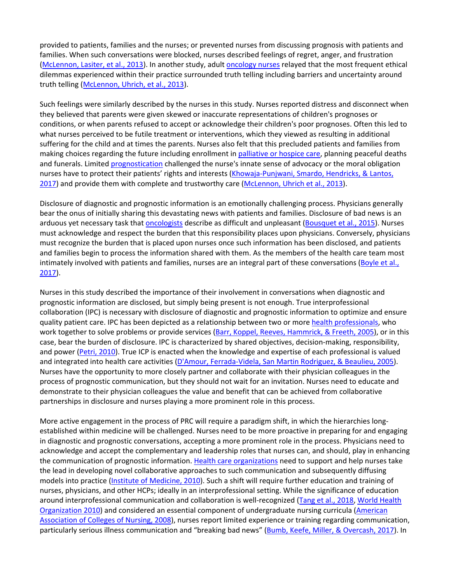provided to patients, families and the nurses; or prevented nurses from discussing prognosis with patients and families. When such conversations were blocked, nurses described feelings of regret, anger, and frustration [\(McLennon, Lasiter, et al., 2013\)](https://www.sciencedirect.com/science/article/pii/S002965541830438X?via%3Dihub#bib0023). In another study, adul[t oncology nurses](https://www.sciencedirect.com/topics/nursing-and-health-professions/oncology-nurse) relayed that the most frequent ethical dilemmas experienced within their practice surrounded truth telling including barriers and uncertainty around truth telling [\(McLennon, Uhrich, et al., 2013\)](https://www.sciencedirect.com/science/article/pii/S002965541830438X?via%3Dihub#bib0022).

Such feelings were similarly described by the nurses in this study. Nurses reported distress and disconnect when they believed that parents were given skewed or inaccurate representations of children's prognoses or conditions, or when parents refused to accept or acknowledge their children's poor prognoses. Often this led to what nurses perceived to be futile treatment or interventions, which they viewed as resulting in additional suffering for the child and at times the parents. Nurses also felt that this precluded patients and families from making choices regarding the future including enrollment in [palliative or hospice care,](https://www.sciencedirect.com/topics/nursing-and-health-professions/palliative-therapy) planning peaceful deaths and funerals. Limited [prognostication](https://www.sciencedirect.com/topics/nursing-and-health-professions/prognostication) challenged the nurse's innate sense of advocacy or the moral obligation nurses have to protect their patients' rights and interests (Khowaja-Punjwani, Smardo, Hendricks, & Lantos, [2017\)](https://www.sciencedirect.com/science/article/pii/S002965541830438X?via%3Dihub#bib0019) and provide them with complete and trustworthy care [\(McLennon, Uhrich et al., 2013\)](https://www.sciencedirect.com/science/article/pii/S002965541830438X?via%3Dihub#bib0022).

Disclosure of diagnostic and prognostic information is an emotionally challenging process. Physicians generally bear the onus of initially sharing this devastating news with patients and families. Disclosure of bad news is an arduous yet necessary task that [oncologists](https://www.sciencedirect.com/topics/nursing-and-health-professions/oncologist) describe as difficult and unpleasant [\(Bousquet et al., 2015\)](https://www.sciencedirect.com/science/article/pii/S002965541830438X?via%3Dihub#bib0006). Nurses must acknowledge and respect the burden that this responsibility places upon physicians. Conversely, physicians must recognize the burden that is placed upon nurses once such information has been disclosed, and patients and families begin to process the information shared with them. As the members of the health care team most intimately involved with patients and families, nurses are an integral part of these conversations (Boyle et al., [2017\)](https://www.sciencedirect.com/science/article/pii/S002965541830438X?via%3Dihub#bib0007).

Nurses in this study described the importance of their involvement in conversations when diagnostic and prognostic information are disclosed, but simply being present is not enough. True interprofessional collaboration (IPC) is necessary with disclosure of diagnostic and prognostic information to optimize and ensure quality patient care. IPC has been depicted as a relationship between two or more [health professionals,](https://www.sciencedirect.com/topics/nursing-and-health-professions/health-practitioner) who work together to solve problems or provide services [\(Barr, Koppel, Reeves, Hammrick, & Freeth, 2005\)](https://www.sciencedirect.com/science/article/pii/S002965541830438X?via%3Dihub#bib0005), or in this case, bear the burden of disclosure. IPC is characterized by shared objectives, decision-making, responsibility, and power [\(Petri, 2010\)](https://www.sciencedirect.com/science/article/pii/S002965541830438X?via%3Dihub#bib0028). True ICP is enacted when the knowledge and expertise of each professional is valued and integrated into health care activities [\(D'Amour, Ferrada-Videla, San Martin Rodriguez, & Beaulieu, 2005\)](https://www.sciencedirect.com/science/article/pii/S002965541830438X?via%3Dihub#bib0011). Nurses have the opportunity to more closely partner and collaborate with their physician colleagues in the process of prognostic communication, but they should not wait for an invitation. Nurses need to educate and demonstrate to their physician colleagues the value and benefit that can be achieved from collaborative partnerships in disclosure and nurses playing a more prominent role in this process.

More active engagement in the process of PRC will require a paradigm shift, in which the hierarchies longestablished within medicine will be challenged. Nurses need to be more proactive in preparing for and engaging in diagnostic and prognostic conversations, accepting a more prominent role in the process. Physicians need to acknowledge and accept the complementary and leadership roles that nurses can, and should, play in enhancing the communication of prognostic information[. Health care organizations](https://www.sciencedirect.com/topics/nursing-and-health-professions/health-care-organization) need to support and help nurses take the lead in developing novel collaborative approaches to such communication and subsequently diffusing models into practice [\(Institute of Medicine, 2010\)](https://www.sciencedirect.com/science/article/pii/S002965541830438X?via%3Dihub#bib0016). Such a shift will require further education and training of nurses, physicians, and other HCPs; ideally in an interprofessional setting. While the significance of education around interprofessional communication and collaboration is well-recognized [\(Tang et al., 2018,](https://www.sciencedirect.com/science/article/pii/S002965541830438X?via%3Dihub#bib0034) [World Health](https://www.sciencedirect.com/science/article/pii/S002965541830438X?via%3Dihub#bib0036)  [Organization 2010\)](https://www.sciencedirect.com/science/article/pii/S002965541830438X?via%3Dihub#bib0036) and considered an essential component of undergraduate nursing curricula [\(American](https://www.sciencedirect.com/science/article/pii/S002965541830438X?via%3Dihub#bib0002)  [Association of Colleges of Nursing, 2008\)](https://www.sciencedirect.com/science/article/pii/S002965541830438X?via%3Dihub#bib0002), nurses report limited experience or training regarding communication, particularly serious illness communication and "breaking bad news" [\(Bumb, Keefe, Miller, & Overcash, 2017\)](https://www.sciencedirect.com/science/article/pii/S002965541830438X?via%3Dihub#bib0008). In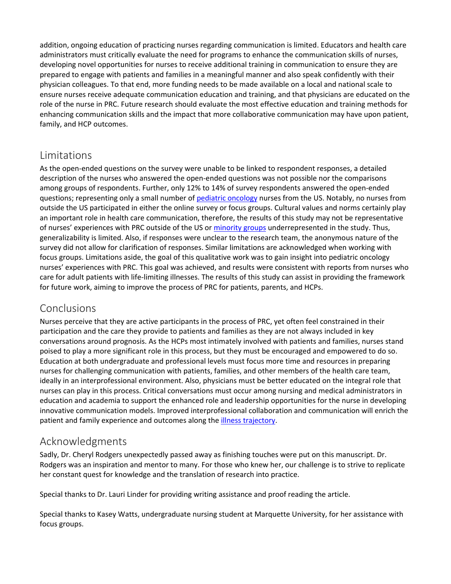addition, ongoing education of practicing nurses regarding communication is limited. Educators and health care administrators must critically evaluate the need for programs to enhance the communication skills of nurses, developing novel opportunities for nurses to receive additional training in communication to ensure they are prepared to engage with patients and families in a meaningful manner and also speak confidently with their physician colleagues. To that end, more funding needs to be made available on a local and national scale to ensure nurses receive adequate communication education and training, and that physicians are educated on the role of the nurse in PRC. Future research should evaluate the most effective education and training methods for enhancing communication skills and the impact that more collaborative communication may have upon patient, family, and HCP outcomes.

# **Limitations**

As the open-ended questions on the survey were unable to be linked to respondent responses, a detailed description of the nurses who answered the open-ended questions was not possible nor the comparisons among groups of respondents. Further, only 12% to 14% of survey respondents answered the open-ended questions; representing only a small number of [pediatric oncology](https://www.sciencedirect.com/topics/nursing-and-health-professions/childhood-cancer) nurses from the US. Notably, no nurses from outside the US participated in either the online survey or focus groups. Cultural values and norms certainly play an important role in health care communication, therefore, the results of this study may not be representative of nurses' experiences with PRC outside of the US or [minority groups](https://www.sciencedirect.com/topics/nursing-and-health-professions/minority-group) underrepresented in the study. Thus, generalizability is limited. Also, if responses were unclear to the research team, the anonymous nature of the survey did not allow for clarification of responses. Similar limitations are acknowledged when working with focus groups. Limitations aside, the goal of this qualitative work was to gain insight into pediatric oncology nurses' experiences with PRC. This goal was achieved, and results were consistent with reports from nurses who care for adult patients with life-limiting illnesses. The results of this study can assist in providing the framework for future work, aiming to improve the process of PRC for patients, parents, and HCPs.

# Conclusions

Nurses perceive that they are active participants in the process of PRC, yet often feel constrained in their participation and the care they provide to patients and families as they are not always included in key conversations around prognosis. As the HCPs most intimately involved with patients and families, nurses stand poised to play a more significant role in this process, but they must be encouraged and empowered to do so. Education at both undergraduate and professional levels must focus more time and resources in preparing nurses for challenging communication with patients, families, and other members of the health care team, ideally in an interprofessional environment. Also, physicians must be better educated on the integral role that nurses can play in this process. Critical conversations must occur among nursing and medical administrators in education and academia to support the enhanced role and leadership opportunities for the nurse in developing innovative communication models. Improved interprofessional collaboration and communication will enrich the patient and family experience and outcomes along the [illness trajectory.](https://www.sciencedirect.com/topics/nursing-and-health-professions/illness-trajectory)

# Acknowledgments

Sadly, Dr. Cheryl Rodgers unexpectedly passed away as finishing touches were put on this manuscript. Dr. Rodgers was an inspiration and mentor to many. For those who knew her, our challenge is to strive to replicate her constant quest for knowledge and the translation of research into practice.

Special thanks to Dr. Lauri Linder for providing writing assistance and proof reading the article.

Special thanks to Kasey Watts, undergraduate nursing student at Marquette University, for her assistance with focus groups.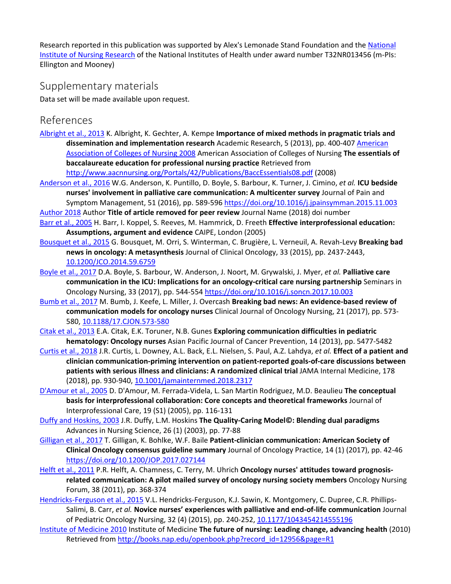Research reported in this publication was supported by Alex's Lemonade Stand Foundation and the National [Institute of Nursing Research](https://www.sciencedirect.com/topics/nursing-and-health-professions/national-health-organization) of the National Institutes of Health under award number T32NR013456 (m-PIs: Ellington and Mooney)

### Supplementary materials

Data set will be made available upon request.

### References

[Albright et al., 2013](https://www.sciencedirect.com/science/article/pii/S002965541830438X?via%3Dihub#bbib0001) K. Albright, K. Gechter, A. Kempe **Importance of mixed methods in pragmatic trials and dissemination and implementation research** Academic Research, 5 (2013), pp. 400-407 [American](https://www.sciencedirect.com/science/article/pii/S002965541830438X?via%3Dihub#bbib0002)  [Association of Colleges of Nursing 2008](https://www.sciencedirect.com/science/article/pii/S002965541830438X?via%3Dihub#bbib0002) American Association of Colleges of Nursing **The essentials of baccalaureate education for professional nursing practice** Retrieved from

<http://www.aacnnursing.org/Portals/42/Publications/BaccEssentials08.pdf> (2008)

- [Anderson et al., 2016](https://www.sciencedirect.com/science/article/pii/S002965541830438X?via%3Dihub#bbib0003) W.G. Anderson, K. Puntillo, D. Boyle, S. Barbour, K. Turner, J. Cimino, *et al.* **ICU bedside nurses' involvement in palliative care communication: A multicenter survey** Journal of Pain and Symptom Management, 51 (2016), pp. 589-596 <https://doi.org/10.1016/j.jpainsymman.2015.11.003>
- [Author 2018](https://www.sciencedirect.com/science/article/pii/S002965541830438X?via%3Dihub#bbib0004) Author **Title of article removed for peer review** Journal Name (2018) doi number
- [Barr et al., 2005](https://www.sciencedirect.com/science/article/pii/S002965541830438X?via%3Dihub#bbib0005) H. Barr, I. Koppel, S. Reeves, M. Hammrick, D. Freeth **Effective interprofessional education: Assumptions, argument and evidence** CAIPE, London (2005)
- [Bousquet et al., 2015](https://www.sciencedirect.com/science/article/pii/S002965541830438X?via%3Dihub#bbib0006) G. Bousquet, M. Orri, S. Winterman, C. Brugière, L. Verneuil, A. Revah-Levy **Breaking bad news in oncology: A metasynthesis** Journal of Clinical Oncology, 33 (2015), pp. 2437-2443, [10.1200/JCO.2014.59.6759](https://doi.org/10.1200/JCO.2014.59.6759)
- [Boyle et al., 2017](https://www.sciencedirect.com/science/article/pii/S002965541830438X?via%3Dihub#bbib0007) D.A. Boyle, S. Barbour, W. Anderson, J. Noort, M. Grywalski, J. Myer, *et al.* **Palliative care communication in the ICU: Implications for an oncology-critical care nursing partnership** Seminars in Oncology Nursing, 33 (2017), pp. 544-554 <https://doi.org/10.1016/j.soncn.2017.10.003>
- [Bumb et al., 2017](https://www.sciencedirect.com/science/article/pii/S002965541830438X?via%3Dihub#bbib0008) M. Bumb, J. Keefe, L. Miller, J. Overcash **Breaking bad news: An evidence-based review of communication models for oncology nurses** Clinical Journal of Oncology Nursing, 21 (2017), pp. 573- 580, [10.1188/17.CJON.573-580](https://doi.org/10.1188/17.CJON.573-580)
- [Citak et al., 2013](https://www.sciencedirect.com/science/article/pii/S002965541830438X?via%3Dihub#bbib0009) E.A. Citak, E.K. Toruner, N.B. Gunes **Exploring communication difficulties in pediatric hematology: Oncology nurses** Asian Pacific Journal of Cancer Prevention, 14 (2013), pp. 5477-5482
- [Curtis et al., 2018](https://www.sciencedirect.com/science/article/pii/S002965541830438X?via%3Dihub#bbib0010) J.R. Curtis, L. Downey, A.L. Back, E.L. Nielsen, S. Paul, A.Z. Lahdya, *et al.* **Effect of a patient and clinician communication-priming intervention on patient-reported goals-of-care discussions between patients with serious illness and clinicians: A randomized clinical trial** JAMA Internal Medicine, 178 (2018), pp. 930-940, [10.1001/jamainternmed.2018.2317](https://doi.org/10.1001/jamainternmed.2018.2317)
- D'Amour [et al., 2005](https://www.sciencedirect.com/science/article/pii/S002965541830438X?via%3Dihub#bbib0011) D. D'Amour, M. Ferrada-Videla, L. San Martin Rodriguez, M.D. Beaulieu **The conceptual basis for interprofessional collaboration: Core concepts and theoretical frameworks** Journal of Interprofessional Care, 19 (S1) (2005), pp. 116-131
- [Duffy and Hoskins, 2003](https://www.sciencedirect.com/science/article/pii/S002965541830438X?via%3Dihub#bbib0012) J.R. Duffy, L.M. Hoskins **The Quality-Caring Model©: Blending dual paradigms** Advances in Nursing Science, 26 (1) (2003), pp. 77-88
- [Gilligan et al., 2017](https://www.sciencedirect.com/science/article/pii/S002965541830438X?via%3Dihub#bbib0013) T. Gilligan, K. Bohlke, W.F. Baile **Patient-clinician communication: American Society of Clinical Oncology consensus guideline summary** Journal of Oncology Practice, 14 (1) (2017), pp. 42-46 <https://doi.org/10.1200/JOP.2017.027144>
- [Helft et al., 2011](https://www.sciencedirect.com/science/article/pii/S002965541830438X?via%3Dihub#bbib0014) P.R. Helft, A. Chamness, C. Terry, M. Uhrich **Oncology nurses' attitudes toward prognosisrelated communication: A pilot mailed survey of oncology nursing society members** Oncology Nursing Forum, 38 (2011), pp. 368-374
- [Hendricks-Ferguson et al., 2015](https://www.sciencedirect.com/science/article/pii/S002965541830438X?via%3Dihub#bbib0015) V.L. Hendricks-Ferguson, K.J. Sawin, K. Montgomery, C. Dupree, C.R. Phillips-Salimi, B. Carr, *et al.* **Novice nurses' experiences with palliative and end-of-life communication** Journal of Pediatric Oncology Nursing, 32 (4) (2015), pp. 240-252, [10.1177/1043454214555196](https://doi.org/10.1177/1043454214555196)
- [Institute of Medicine 2010](https://www.sciencedirect.com/science/article/pii/S002965541830438X?via%3Dihub#bbib0016) Institute of Medicine **The future of nursing: Leading change, advancing health** (2010) Retrieved from [http://books.nap.edu/openbook.php?record\\_id=12956&page=R1](http://books.nap.edu/openbook.php?record_id=12956&page=R1)